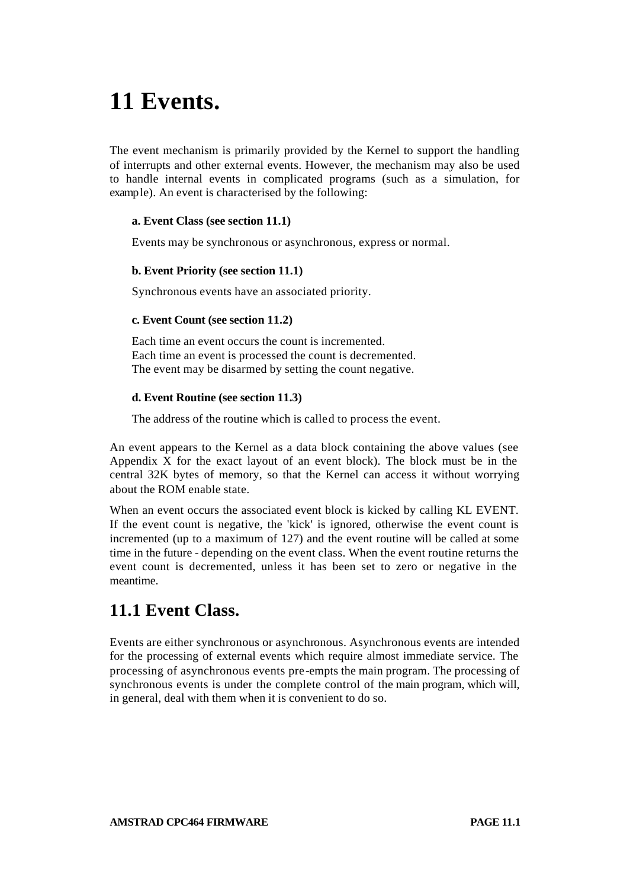# **11 Events.**

The event mechanism is primarily provided by the Kernel to support the handling of interrupts and other external events. However, the mechanism may also be used to handle internal events in complicated programs (such as a simulation, for example). An event is characterised by the following:

#### **a. Event Class (see section 11.1)**

Events may be synchronous or asynchronous, express or normal.

#### **b. Event Priority (see section 11.1)**

Synchronous events have an associated priority.

#### **c. Event Count (see section 11.2)**

Each time an event occurs the count is incremented. Each time an event is processed the count is decremented. The event may be disarmed by setting the count negative.

#### **d. Event Routine (see section 11.3)**

The address of the routine which is called to process the event.

An event appears to the Kernel as a data block containing the above values (see Appendix X for the exact layout of an event block). The block must be in the central 32K bytes of memory, so that the Kernel can access it without worrying about the ROM enable state.

When an event occurs the associated event block is kicked by calling KL EVENT. If the event count is negative, the 'kick' is ignored, otherwise the event count is incremented (up to a maximum of 127) and the event routine will be called at some time in the future - depending on the event class. When the event routine returns the event count is decremented, unless it has been set to zero or negative in the meantime.

### **11.1 Event Class.**

Events are either synchronous or asynchronous. Asynchronous events are intended for the processing of external events which require almost immediate service. The processing of asynchronous events pre-empts the main program. The processing of synchronous events is under the complete control of the main program, which will, in general, deal with them when it is convenient to do so.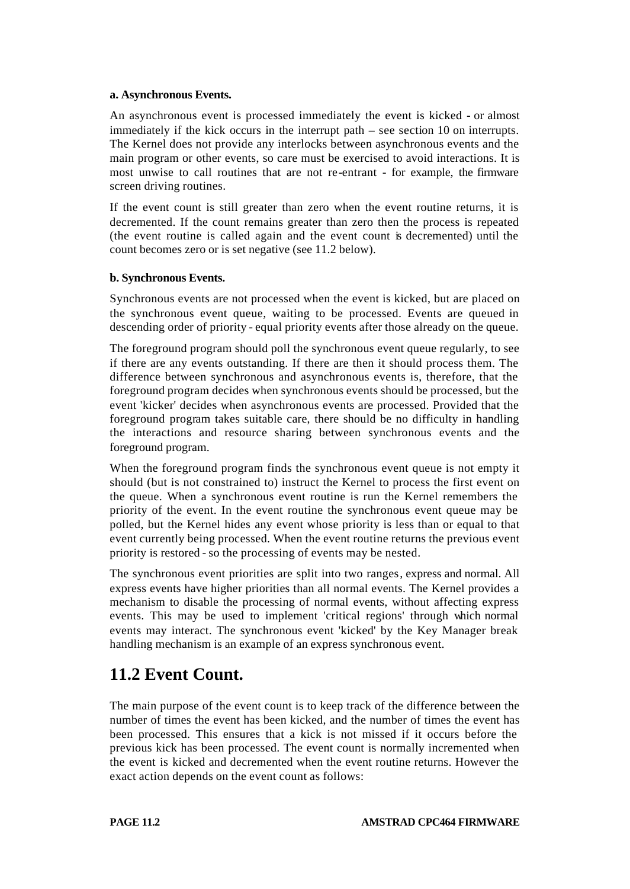#### **a. Asynchronous Events.**

An asynchronous event is processed immediately the event is kicked - or almost immediately if the kick occurs in the interrupt path – see section 10 on interrupts. The Kernel does not provide any interlocks between asynchronous events and the main program or other events, so care must be exercised to avoid interactions. It is most unwise to call routines that are not re-entrant - for example, the firmware screen driving routines.

If the event count is still greater than zero when the event routine returns, it is decremented. If the count remains greater than zero then the process is repeated (the event routine is called again and the event count is decremented) until the count becomes zero or is set negative (see 11.2 below).

#### **b. Synchronous Events.**

Synchronous events are not processed when the event is kicked, but are placed on the synchronous event queue, waiting to be processed. Events are queued in descending order of priority - equal priority events after those already on the queue.

The foreground program should poll the synchronous event queue regularly, to see if there are any events outstanding. If there are then it should process them. The difference between synchronous and asynchronous events is, therefore, that the foreground program decides when synchronous events should be processed, but the event 'kicker' decides when asynchronous events are processed. Provided that the foreground program takes suitable care, there should be no difficulty in handling the interactions and resource sharing between synchronous events and the foreground program.

When the foreground program finds the synchronous event queue is not empty it should (but is not constrained to) instruct the Kernel to process the first event on the queue. When a synchronous event routine is run the Kernel remembers the priority of the event. In the event routine the synchronous event queue may be polled, but the Kernel hides any event whose priority is less than or equal to that event currently being processed. When the event routine returns the previous event priority is restored - so the processing of events may be nested.

The synchronous event priorities are split into two ranges, express and normal. All express events have higher priorities than all normal events. The Kernel provides a mechanism to disable the processing of normal events, without affecting express events. This may be used to implement 'critical regions' through which normal events may interact. The synchronous event 'kicked' by the Key Manager break handling mechanism is an example of an express synchronous event.

# **11.2 Event Count.**

The main purpose of the event count is to keep track of the difference between the number of times the event has been kicked, and the number of times the event has been processed. This ensures that a kick is not missed if it occurs before the previous kick has been processed. The event count is normally incremented when the event is kicked and decremented when the event routine returns. However the exact action depends on the event count as follows: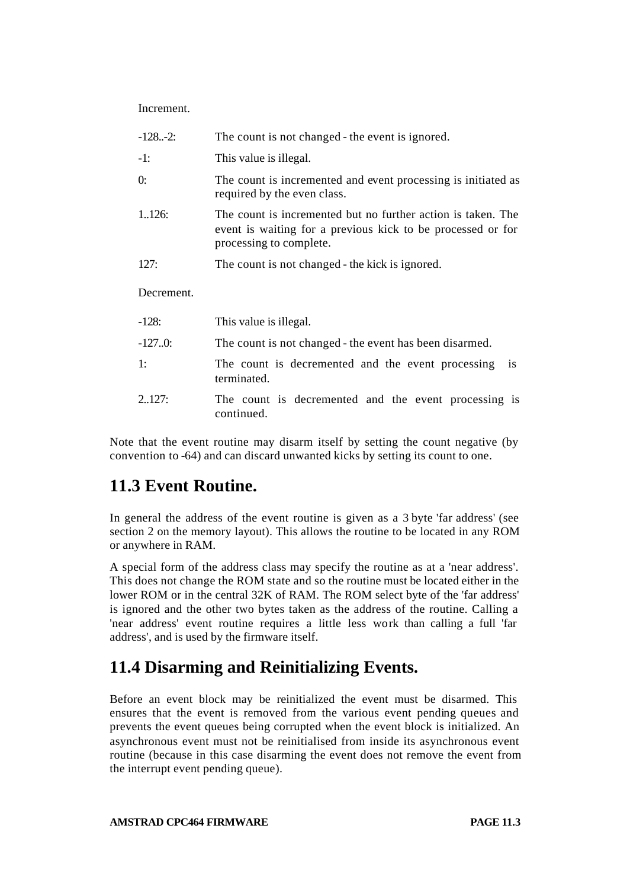Increment.

| $-1282$ :  | The count is not changed - the event is ignored.                                                                                                       |
|------------|--------------------------------------------------------------------------------------------------------------------------------------------------------|
| $-1:$      | This value is illegal.                                                                                                                                 |
| 0:         | The count is incremented and event processing is initiated as<br>required by the even class.                                                           |
| 1.126:     | The count is incremented but no further action is taken. The<br>event is waiting for a previous kick to be processed or for<br>processing to complete. |
| 127:       | The count is not changed - the kick is ignored.                                                                                                        |
| Decrement. |                                                                                                                                                        |
| $-128:$    | This value is illegal.                                                                                                                                 |
| $-127.0$   | The count is not changed - the event has been disarmed.                                                                                                |
| 1:         | The count is decremented and the event processing<br><i>is</i><br>terminated.                                                                          |
| 2.127:     | The count is decremented and the event processing is                                                                                                   |

Note that the event routine may disarm itself by setting the count negative (by convention to -64) and can discard unwanted kicks by setting its count to one.

### **11.3 Event Routine.**

continued.

In general the address of the event routine is given as a 3 byte 'far address' (see section 2 on the memory layout). This allows the routine to be located in any ROM or anywhere in RAM.

A special form of the address class may specify the routine as at a 'near address'. This does not change the ROM state and so the routine must be located either in the lower ROM or in the central 32K of RAM. The ROM select byte of the 'far address' is ignored and the other two bytes taken as the address of the routine. Calling a 'near address' event routine requires a little less work than calling a full 'far address', and is used by the firmware itself.

# **11.4 Disarming and Reinitializing Events.**

Before an event block may be reinitialized the event must be disarmed. This ensures that the event is removed from the various event pending queues and prevents the event queues being corrupted when the event block is initialized. An asynchronous event must not be reinitialised from inside its asynchronous event routine (because in this case disarming the event does not remove the event from the interrupt event pending queue).